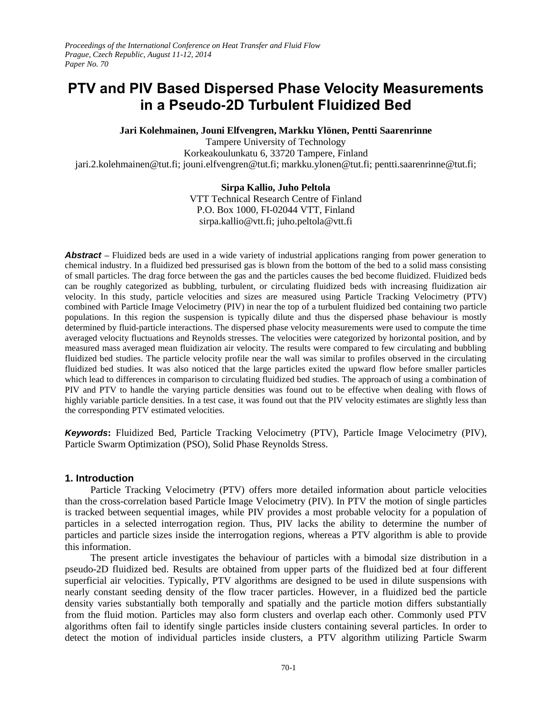# **PTV and PIV Based Dispersed Phase Velocity Measurements in a Pseudo-2D Turbulent Fluidized Bed**

**Jari Kolehmainen, Jouni Elfvengren, Markku Ylönen, Pentti Saarenrinne**

Tampere University of Technology Korkeakoulunkatu 6, 33720 Tampere, Finland jari.2.kolehmainen@tut.fi; jouni.elfvengren@tut.fi; markku.ylonen@tut.fi; pentti.saarenrinne@tut.fi;

# **Sirpa Kallio, Juho Peltola**

VTT Technical Research Centre of Finland P.O. Box 1000, FI-02044 VTT, Finland sirpa.kallio@vtt.fi; juho.peltola@vtt.fi

*Abstract* **–** Fluidized beds are used in a wide variety of industrial applications ranging from power generation to chemical industry. In a fluidized bed pressurised gas is blown from the bottom of the bed to a solid mass consisting of small particles. The drag force between the gas and the particles causes the bed become fluidized. Fluidized beds can be roughly categorized as bubbling, turbulent, or circulating fluidized beds with increasing fluidization air velocity. In this study, particle velocities and sizes are measured using Particle Tracking Velocimetry (PTV) combined with Particle Image Velocimetry (PIV) in near the top of a turbulent fluidized bed containing two particle populations. In this region the suspension is typically dilute and thus the dispersed phase behaviour is mostly determined by fluid-particle interactions. The dispersed phase velocity measurements were used to compute the time averaged velocity fluctuations and Reynolds stresses. The velocities were categorized by horizontal position, and by measured mass averaged mean fluidization air velocity. The results were compared to few circulating and bubbling fluidized bed studies. The particle velocity profile near the wall was similar to profiles observed in the circulating fluidized bed studies. It was also noticed that the large particles exited the upward flow before smaller particles which lead to differences in comparison to circulating fluidized bed studies. The approach of using a combination of PIV and PTV to handle the varying particle densities was found out to be effective when dealing with flows of highly variable particle densities. In a test case, it was found out that the PIV velocity estimates are slightly less than the corresponding PTV estimated velocities.

*Keywords***:** Fluidized Bed, Particle Tracking Velocimetry (PTV), Particle Image Velocimetry (PIV), Particle Swarm Optimization (PSO), Solid Phase Reynolds Stress.

# **1. Introduction**

Particle Tracking Velocimetry (PTV) offers more detailed information about particle velocities than the cross-correlation based Particle Image Velocimetry (PIV). In PTV the motion of single particles is tracked between sequential images, while PIV provides a most probable velocity for a population of particles in a selected interrogation region. Thus, PIV lacks the ability to determine the number of particles and particle sizes inside the interrogation regions, whereas a PTV algorithm is able to provide this information.

The present article investigates the behaviour of particles with a bimodal size distribution in a pseudo-2D fluidized bed. Results are obtained from upper parts of the fluidized bed at four different superficial air velocities. Typically, PTV algorithms are designed to be used in dilute suspensions with nearly constant seeding density of the flow tracer particles. However, in a fluidized bed the particle density varies substantially both temporally and spatially and the particle motion differs substantially from the fluid motion. Particles may also form clusters and overlap each other. Commonly used PTV algorithms often fail to identify single particles inside clusters containing several particles. In order to detect the motion of individual particles inside clusters, a PTV algorithm utilizing Particle Swarm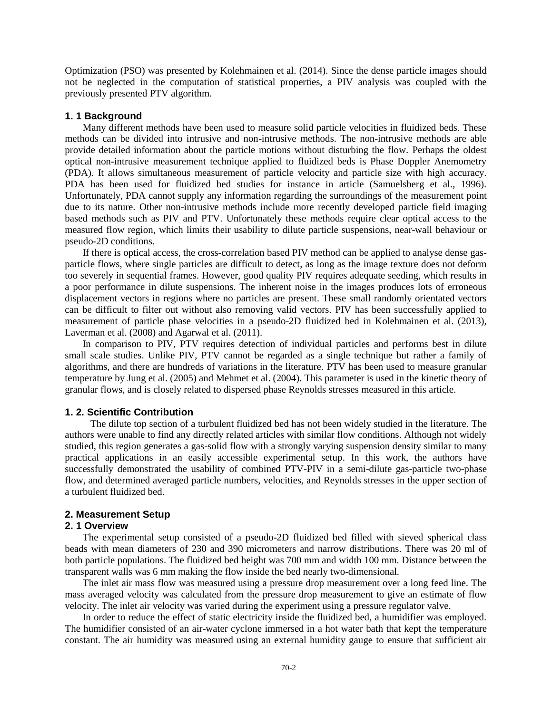Optimization (PSO) was presented by Kolehmainen et al. (2014). Since the dense particle images should not be neglected in the computation of statistical properties, a PIV analysis was coupled with the previously presented PTV algorithm.

## **1. 1 Background**

Many different methods have been used to measure solid particle velocities in fluidized beds. These methods can be divided into intrusive and non-intrusive methods. The non-intrusive methods are able provide detailed information about the particle motions without disturbing the flow. Perhaps the oldest optical non-intrusive measurement technique applied to fluidized beds is Phase Doppler Anemometry (PDA). It allows simultaneous measurement of particle velocity and particle size with high accuracy. PDA has been used for fluidized bed studies for instance in article (Samuelsberg et al., 1996). Unfortunately, PDA cannot supply any information regarding the surroundings of the measurement point due to its nature. Other non-intrusive methods include more recently developed particle field imaging based methods such as PIV and PTV. Unfortunately these methods require clear optical access to the measured flow region, which limits their usability to dilute particle suspensions, near-wall behaviour or pseudo-2D conditions.

If there is optical access, the cross-correlation based PIV method can be applied to analyse dense gasparticle flows, where single particles are difficult to detect, as long as the image texture does not deform too severely in sequential frames. However, good quality PIV requires adequate seeding, which results in a poor performance in dilute suspensions. The inherent noise in the images produces lots of erroneous displacement vectors in regions where no particles are present. These small randomly orientated vectors can be difficult to filter out without also removing valid vectors. PIV has been successfully applied to measurement of particle phase velocities in a pseudo-2D fluidized bed in Kolehmainen et al. (2013), Laverman et al.  $(2008)$  and Agarwal et al.  $(2011)$ .

In comparison to PIV, PTV requires detection of individual particles and performs best in dilute small scale studies. Unlike PIV, PTV cannot be regarded as a single technique but rather a family of algorithms, and there are hundreds of variations in the literature. PTV has been used to measure granular temperature by Jung et al. (2005) and Mehmet et al. (2004). This parameter is used in the kinetic theory of granular flows, and is closely related to dispersed phase Reynolds stresses measured in this article.

## **1. 2. Scientific Contribution**

The dilute top section of a turbulent fluidized bed has not been widely studied in the literature. The authors were unable to find any directly related articles with similar flow conditions. Although not widely studied, this region generates a gas-solid flow with a strongly varying suspension density similar to many practical applications in an easily accessible experimental setup. In this work, the authors have successfully demonstrated the usability of combined PTV-PIV in a semi-dilute gas-particle two-phase flow, and determined averaged particle numbers, velocities, and Reynolds stresses in the upper section of a turbulent fluidized bed.

## **2. Measurement Setup**

## **2. 1 Overview**

The experimental setup consisted of a pseudo-2D fluidized bed filled with sieved spherical class beads with mean diameters of 230 and 390 micrometers and narrow distributions. There was 20 ml of both particle populations. The fluidized bed height was 700 mm and width 100 mm. Distance between the transparent walls was 6 mm making the flow inside the bed nearly two-dimensional.

The inlet air mass flow was measured using a pressure drop measurement over a long feed line. The mass averaged velocity was calculated from the pressure drop measurement to give an estimate of flow velocity. The inlet air velocity was varied during the experiment using a pressure regulator valve.

In order to reduce the effect of static electricity inside the fluidized bed, a humidifier was employed. The humidifier consisted of an air-water cyclone immersed in a hot water bath that kept the temperature constant. The air humidity was measured using an external humidity gauge to ensure that sufficient air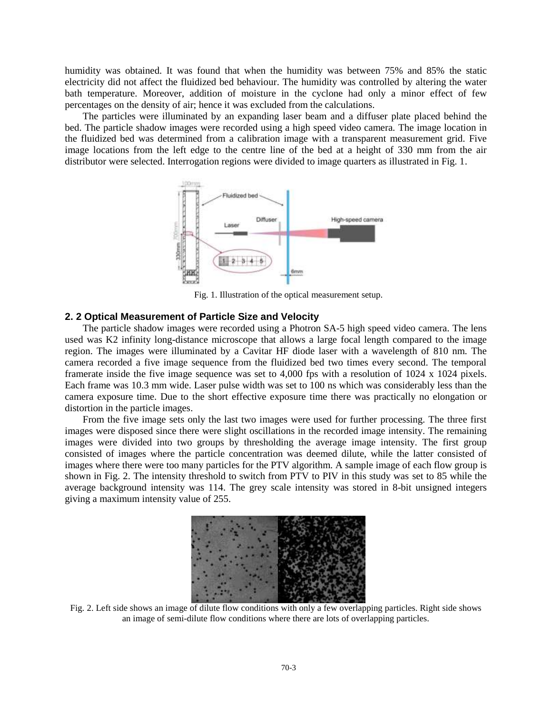humidity was obtained. It was found that when the humidity was between 75% and 85% the static electricity did not affect the fluidized bed behaviour. The humidity was controlled by altering the water bath temperature. Moreover, addition of moisture in the cyclone had only a minor effect of few percentages on the density of air; hence it was excluded from the calculations.

The particles were illuminated by an expanding laser beam and a diffuser plate placed behind the bed. The particle shadow images were recorded using a high speed video camera. The image location in the fluidized bed was determined from a calibration image with a transparent measurement grid. Five image locations from the left edge to the centre line of the bed at a height of 330 mm from the air distributor were selected. Interrogation regions were divided to image quarters as illustrated in Fig. 1.



Fig. 1. Illustration of the optical measurement setup.

## **2. 2 Optical Measurement of Particle Size and Velocity**

The particle shadow images were recorded using a Photron SA-5 high speed video camera. The lens used was K2 infinity long-distance microscope that allows a large focal length compared to the image region. The images were illuminated by a Cavitar HF diode laser with a wavelength of 810 nm. The camera recorded a five image sequence from the fluidized bed two times every second. The temporal framerate inside the five image sequence was set to 4,000 fps with a resolution of 1024 x 1024 pixels. Each frame was 10.3 mm wide. Laser pulse width was set to 100 ns which was considerably less than the camera exposure time. Due to the short effective exposure time there was practically no elongation or distortion in the particle images.

From the five image sets only the last two images were used for further processing. The three first images were disposed since there were slight oscillations in the recorded image intensity. The remaining images were divided into two groups by thresholding the average image intensity. The first group consisted of images where the particle concentration was deemed dilute, while the latter consisted of images where there were too many particles for the PTV algorithm. A sample image of each flow group is shown in Fig. 2. The intensity threshold to switch from PTV to PIV in this study was set to 85 while the average background intensity was 114. The grey scale intensity was stored in 8-bit unsigned integers giving a maximum intensity value of 255.



Fig. 2. Left side shows an image of dilute flow conditions with only a few overlapping particles. Right side shows an image of semi-dilute flow conditions where there are lots of overlapping particles.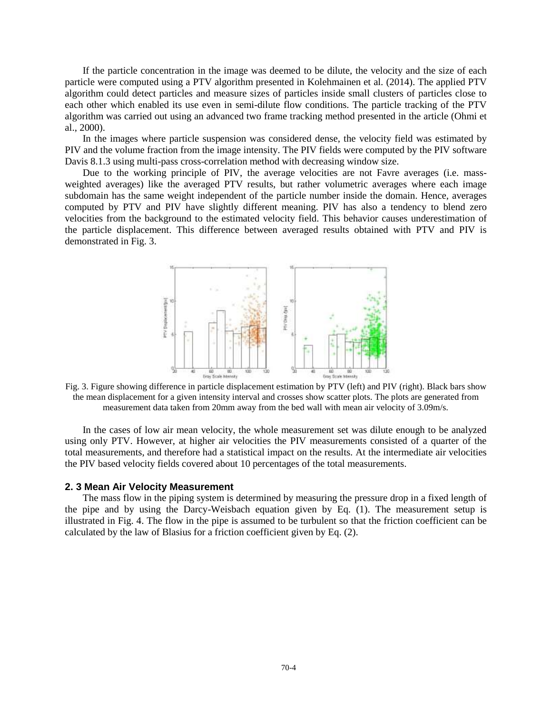If the particle concentration in the image was deemed to be dilute, the velocity and the size of each particle were computed using a PTV algorithm presented in Kolehmainen et al. (2014). The applied PTV algorithm could detect particles and measure sizes of particles inside small clusters of particles close to each other which enabled its use even in semi-dilute flow conditions. The particle tracking of the PTV algorithm was carried out using an advanced two frame tracking method presented in the article (Ohmi et al., 2000).

In the images where particle suspension was considered dense, the velocity field was estimated by PIV and the volume fraction from the image intensity. The PIV fields were computed by the PIV software Davis 8.1.3 using multi-pass cross-correlation method with decreasing window size.

Due to the working principle of PIV, the average velocities are not Favre averages (i.e. massweighted averages) like the averaged PTV results, but rather volumetric averages where each image subdomain has the same weight independent of the particle number inside the domain. Hence, averages computed by PTV and PIV have slightly different meaning. PIV has also a tendency to blend zero velocities from the background to the estimated velocity field. This behavior causes underestimation of the particle displacement. This difference between averaged results obtained with PTV and PIV is demonstrated in Fig. 3.



Fig. 3. Figure showing difference in particle displacement estimation by PTV (left) and PIV (right). Black bars show the mean displacement for a given intensity interval and crosses show scatter plots. The plots are generated from measurement data taken from 20mm away from the bed wall with mean air velocity of 3.09m/s.

In the cases of low air mean velocity, the whole measurement set was dilute enough to be analyzed using only PTV. However, at higher air velocities the PIV measurements consisted of a quarter of the total measurements, and therefore had a statistical impact on the results. At the intermediate air velocities the PIV based velocity fields covered about 10 percentages of the total measurements.

#### **2. 3 Mean Air Velocity Measurement**

The mass flow in the piping system is determined by measuring the pressure drop in a fixed length of the pipe and by using the Darcy-Weisbach equation given by Eq. (1). The measurement setup is illustrated in Fig. 4. The flow in the pipe is assumed to be turbulent so that the friction coefficient can be calculated by the law of Blasius for a friction coefficient given by Eq. (2).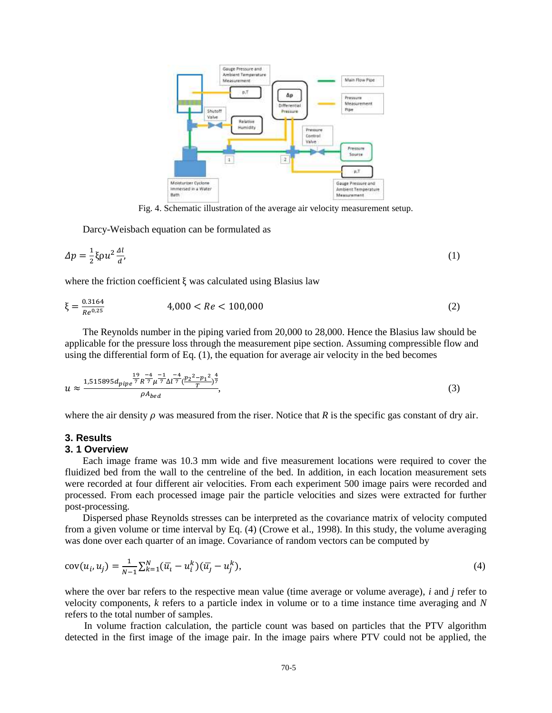

Fig. 4. Schematic illustration of the average air velocity measurement setup.

Darcy-Weisbach equation can be formulated as

$$
\Delta p = \frac{1}{2} \xi \rho u^2 \frac{\Delta l}{d},\tag{1}
$$

where the friction coefficient  $\xi$  was calculated using Blasius law

$$
\xi = \frac{0.3164}{Re^{0.25}} \qquad 4,000 < Re < 100,000 \tag{2}
$$

The Reynolds number in the piping varied from 20,000 to 28,000. Hence the Blasius law should be applicable for the pressure loss through the measurement pipe section. Assuming compressible flow and using the differential form of Eq. (1), the equation for average air velocity in the bed becomes

$$
u \approx \frac{1,515895d_{pipe} \frac{19}{7} \frac{r^4}{R^7} \mu^{\frac{-1}{7}} \mu^{\frac{-4}{7}} \left(\frac{p_2^2 - p_1^2}{T}\right)^{\frac{4}{7}}}{\rho A_{bed}},\tag{3}
$$

where the air density  $\rho$  was measured from the riser. Notice that *R* is the specific gas constant of dry air.

## **3. Results**

#### **3. 1 Overview**

Each image frame was 10.3 mm wide and five measurement locations were required to cover the fluidized bed from the wall to the centreline of the bed. In addition, in each location measurement sets were recorded at four different air velocities. From each experiment 500 image pairs were recorded and processed. From each processed image pair the particle velocities and sizes were extracted for further post-processing.

Dispersed phase Reynolds stresses can be interpreted as the covariance matrix of velocity computed from a given volume or time interval by Eq. (4) (Crowe et al., 1998). In this study, the volume averaging was done over each quarter of an image. Covariance of random vectors can be computed by

$$
cov(u_i, u_j) = \frac{1}{N-1} \sum_{k=1}^{N} (\overline{u}_i - u_i^k)(\overline{u}_j - u_j^k),
$$
\n(4)

where the over bar refers to the respective mean value (time average or volume average), *i* and *j* refer to velocity components, *k* refers to a particle index in volume or to a time instance time averaging and *N* refers to the total number of samples.

In volume fraction calculation, the particle count was based on particles that the PTV algorithm detected in the first image of the image pair. In the image pairs where PTV could not be applied, the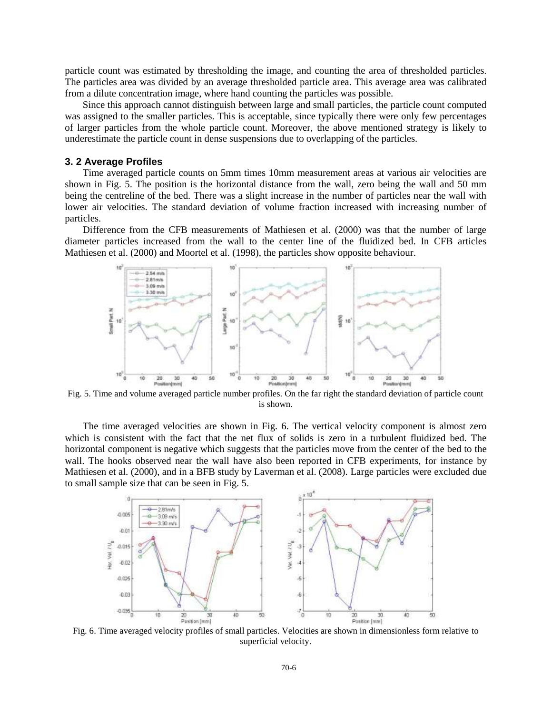particle count was estimated by thresholding the image, and counting the area of thresholded particles. The particles area was divided by an average thresholded particle area. This average area was calibrated from a dilute concentration image, where hand counting the particles was possible.

Since this approach cannot distinguish between large and small particles, the particle count computed was assigned to the smaller particles. This is acceptable, since typically there were only few percentages of larger particles from the whole particle count. Moreover, the above mentioned strategy is likely to underestimate the particle count in dense suspensions due to overlapping of the particles.

### **3. 2 Average Profiles**

Time averaged particle counts on 5mm times 10mm measurement areas at various air velocities are shown in Fig. 5. The position is the horizontal distance from the wall, zero being the wall and 50 mm being the centreline of the bed. There was a slight increase in the number of particles near the wall with lower air velocities. The standard deviation of volume fraction increased with increasing number of particles.

Difference from the CFB measurements of Mathiesen et al. (2000) was that the number of large diameter particles increased from the wall to the center line of the fluidized bed. In CFB articles Mathiesen et al. (2000) and Moortel et al. (1998), the particles show opposite behaviour.



Fig. 5. Time and volume averaged particle number profiles. On the far right the standard deviation of particle count is shown.

The time averaged velocities are shown in Fig. 6. The vertical velocity component is almost zero which is consistent with the fact that the net flux of solids is zero in a turbulent fluidized bed. The horizontal component is negative which suggests that the particles move from the center of the bed to the wall. The hooks observed near the wall have also been reported in CFB experiments, for instance by Mathiesen et al. (2000), and in a BFB study by Laverman et al. (2008). Large particles were excluded due to small sample size that can be seen in Fig. 5.



Fig. 6. Time averaged velocity profiles of small particles. Velocities are shown in dimensionless form relative to superficial velocity.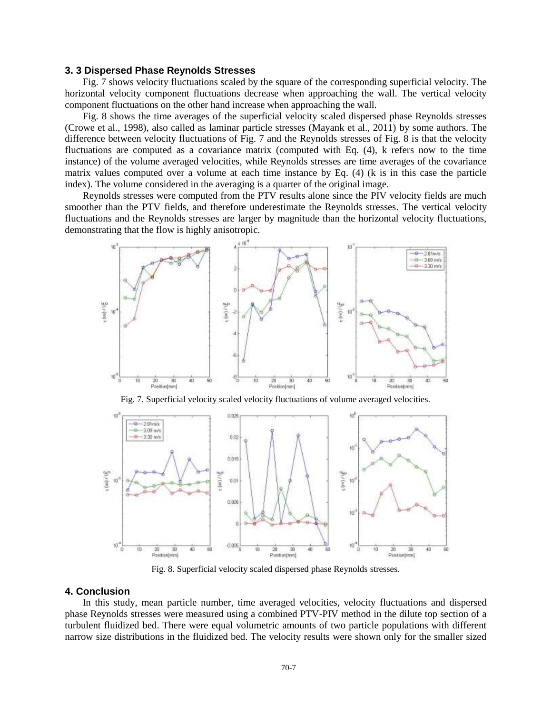## **3. 3 Dispersed Phase Reynolds Stresses**

Fig. 7 shows velocity fluctuations scaled by the square of the corresponding superficial velocity. The horizontal velocity component fluctuations decrease when approaching the wall. The vertical velocity component fluctuations on the other hand increase when approaching the wall.

Fig. 8 shows the time averages of the superficial velocity scaled dispersed phase Reynolds stresses (Crowe et al., 1998), also called as laminar particle stresses (Mayank et al., 2011) by some authors. The difference between velocity fluctuations of Fig. 7 and the Reynolds stresses of Fig. 8 is that the velocity fluctuations are computed as a covariance matrix (computed with Eq. (4), k refers now to the time instance) of the volume averaged velocities, while Reynolds stresses are time averages of the covariance matrix values computed over a volume at each time instance by Eq. (4) (k is in this case the particle index). The volume considered in the averaging is a quarter of the original image.

Reynolds stresses were computed from the PTV results alone since the PIV velocity fields are much smoother than the PTV fields, and therefore underestimate the Reynolds stresses. The vertical velocity fluctuations and the Reynolds stresses are larger by magnitude than the horizontal velocity fluctuations, demonstrating that the flow is highly anisotropic.



Fig. 7. Superficial velocity scaled velocity fluctuations of volume averaged velocities.



Fig. 8. Superficial velocity scaled dispersed phase Reynolds stresses.

## **4. Conclusion**

In this study, mean particle number, time averaged velocities, velocity fluctuations and dispersed phase Reynolds stresses were measured using a combined PTV-PIV method in the dilute top section of a turbulent fluidized bed. There were equal volumetric amounts of two particle populations with different narrow size distributions in the fluidized bed. The velocity results were shown only for the smaller sized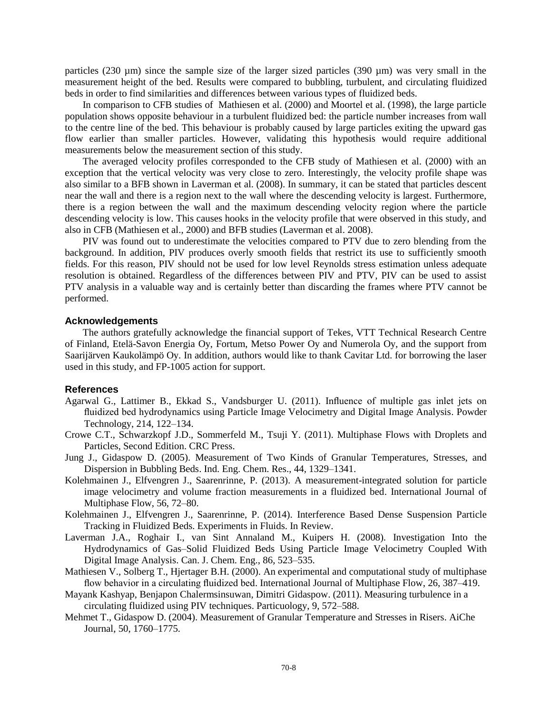particles (230 µm) since the sample size of the larger sized particles (390 µm) was very small in the measurement height of the bed. Results were compared to bubbling, turbulent, and circulating fluidized beds in order to find similarities and differences between various types of fluidized beds.

In comparison to CFB studies of Mathiesen et al. (2000) and Moortel et al. (1998), the large particle population shows opposite behaviour in a turbulent fluidized bed: the particle number increases from wall to the centre line of the bed. This behaviour is probably caused by large particles exiting the upward gas flow earlier than smaller particles. However, validating this hypothesis would require additional measurements below the measurement section of this study.

The averaged velocity profiles corresponded to the CFB study of Mathiesen et al. (2000) with an exception that the vertical velocity was very close to zero. Interestingly, the velocity profile shape was also similar to a BFB shown in Laverman et al. (2008). In summary, it can be stated that particles descent near the wall and there is a region next to the wall where the descending velocity is largest. Furthermore, there is a region between the wall and the maximum descending velocity region where the particle descending velocity is low. This causes hooks in the velocity profile that were observed in this study, and also in CFB (Mathiesen et al., 2000) and BFB studies (Laverman et al. 2008).

PIV was found out to underestimate the velocities compared to PTV due to zero blending from the background. In addition, PIV produces overly smooth fields that restrict its use to sufficiently smooth fields. For this reason, PIV should not be used for low level Reynolds stress estimation unless adequate resolution is obtained. Regardless of the differences between PIV and PTV, PIV can be used to assist PTV analysis in a valuable way and is certainly better than discarding the frames where PTV cannot be performed.

# **Acknowledgements**

The authors gratefully acknowledge the financial support of Tekes, VTT Technical Research Centre of Finland, Etelä-Savon Energia Oy, Fortum, Metso Power Oy and Numerola Oy, and the support from Saarijärven Kaukolämpö Oy. In addition, authors would like to thank Cavitar Ltd. for borrowing the laser used in this study, and FP-1005 action for support.

## **References**

- Agarwal G., Lattimer B., Ekkad S., Vandsburger U. (2011). Influence of multiple gas inlet jets on fluidized bed hydrodynamics using Particle Image Velocimetry and Digital Image Analysis. Powder Technology, 214, 122–134.
- Crowe C.T., Schwarzkopf J.D., Sommerfeld M., Tsuji Y. (2011). Multiphase Flows with Droplets and Particles, Second Edition. CRC Press.
- Jung J., Gidaspow D. (2005). Measurement of Two Kinds of Granular Temperatures, Stresses, and Dispersion in Bubbling Beds. Ind. Eng. Chem. Res., 44, 1329–1341.
- Kolehmainen J., Elfvengren J., Saarenrinne, P. (2013). A measurement-integrated solution for particle image velocimetry and volume fraction measurements in a fluidized bed. International Journal of Multiphase Flow, 56, 72–80.
- Kolehmainen J., Elfvengren J., Saarenrinne, P. (2014). Interference Based Dense Suspension Particle Tracking in Fluidized Beds. Experiments in Fluids. In Review.
- Laverman J.A., Roghair I., van Sint Annaland M., Kuipers H. (2008). Investigation Into the Hydrodynamics of Gas–Solid Fluidized Beds Using Particle Image Velocimetry Coupled With Digital Image Analysis. Can. J. Chem. Eng., 86, 523–535.
- Mathiesen V., Solberg T., Hjertager B.H. (2000). An experimental and computational study of multiphase flow behavior in a circulating fluidized bed. International Journal of Multiphase Flow, 26, 387–419.
- Mayank Kashyap, Benjapon Chalermsinsuwan, Dimitri Gidaspow. (2011). Measuring turbulence in a circulating fluidized using PIV techniques. Particuology, 9, 572–588.
- Mehmet T., Gidaspow D. (2004). Measurement of Granular Temperature and Stresses in Risers. AiChe Journal, 50, 1760–1775.